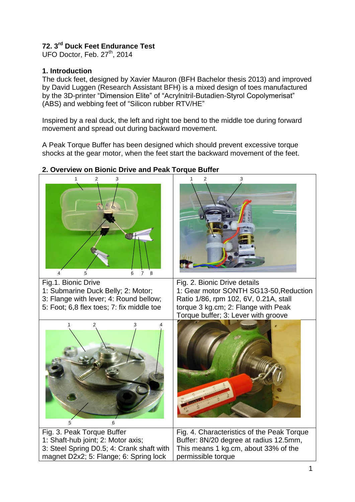# **72. 3 rd Duck Feet Endurance Test**

UFO Doctor, Feb. 27<sup>th</sup>, 2014

## **1. Introduction**

The duck feet, designed by Xavier Mauron (BFH Bachelor thesis 2013) and improved by David Luggen (Research Assistant BFH) is a mixed design of toes manufactured by the 3D-printer "Dimension Elite" of "Acrylnitril-Butadien-Styrol Copolymerisat" (ABS) and webbing feet of "Silicon rubber RTV/HE"

Inspired by a real duck, the left and right toe bend to the middle toe during forward movement and spread out during backward movement.

A Peak Torque Buffer has been designed which should prevent excessive torque shocks at the gear motor, when the feet start the backward movement of the feet.



# **2. Overview on Bionic Drive and Peak Torque Buffer**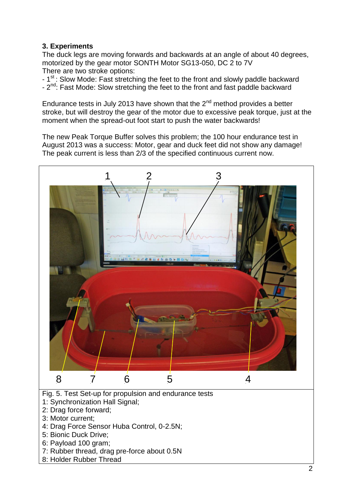## **3. Experiments**

The duck legs are moving forwards and backwards at an angle of about 40 degrees, motorized by the gear motor SONTH Motor SG13-050, DC 2 to 7V There are two stroke options:

- 1<sup>st</sup>: Slow Mode: Fast stretching the feet to the front and slowly paddle backward - 2<sup>nd</sup>: Fast Mode: Slow stretching the feet to the front and fast paddle backward

Endurance tests in July 2013 have shown that the  $2<sup>nd</sup>$  method provides a better stroke, but will destroy the gear of the motor due to excessive peak torque, just at the moment when the spread-out foot start to push the water backwards!

The new Peak Torque Buffer solves this problem; the 100 hour endurance test in August 2013 was a success: Motor, gear and duck feet did not show any damage! The peak current is less than 2/3 of the specified continuous current now.

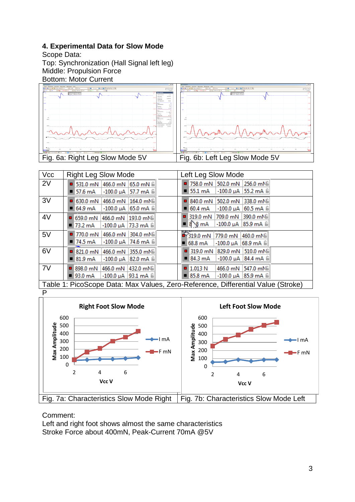### **4. Experimental Data for Slow Mode**

Scope Data:

Top: Synchronization (Hall Signal left leg) Middle: Propulsion Force



| <b>Vcc</b>                                                                       | <b>Right Leg Slow Mode</b>                                       | Left Leg Slow Mode                                         |  |  |
|----------------------------------------------------------------------------------|------------------------------------------------------------------|------------------------------------------------------------|--|--|
| 2V                                                                               | $\blacksquare$ 531.0 mN 466.0 mN 65.0 mN $\blacksquare$          | ■ 758.0 mN 502.0 mN 256.0 mNH                              |  |  |
|                                                                                  | $\blacksquare$ 57.6 mA<br>$-100.0 \mu A$ 57.7 mA $\text{m}$      | $-100.0 \mu A$ 55.2 mA $\hat{m}$<br>55.1 mA                |  |  |
| 3V                                                                               | $\blacksquare$ 630.0 mN<br>466.0 mN 164.0 mNB                    | $\blacksquare$ 840.0 mN<br>502.0 mN 338.0 mNH              |  |  |
|                                                                                  | $-100.0 \mu A$ 65.0 mA $\hat{m}$<br>$\blacksquare$ 64.9 mA       | $\blacksquare$ 60.4 mA<br>60.5 mA B<br>$-100.0 \mu A$      |  |  |
| 4V                                                                               | $\blacksquare$ 659.0 mN<br>466.0 mN 193.0 mNH                    | 319.0 mN 709.0 mN 390.0 mN                                 |  |  |
|                                                                                  | $\blacksquare$ 73.2 mA<br>$-100.0 \mu A$ 73.3 mA $\frac{20}{10}$ | $= 8 \times mA$<br>$-100.0 \mu A$ 85.9 mA $\text{m}$       |  |  |
| 5V                                                                               | $\blacksquare$ 770.0 mN<br>466.0 mN 304.0 mNH                    | $-319.0$ mN<br>779.0 mN 460.0 mNB                          |  |  |
|                                                                                  | $\blacksquare$ 74.5 mA<br>$-100.0 \mu A$ 74.6 mA $\frac{6}{10}$  | $\blacksquare$ 68.8 mA<br>-100.0 µA  68.9 mA liil          |  |  |
| 6V                                                                               | $\blacksquare$ 821.0 mN<br>466.0 mN 355.0 mNB                    | ■ 319.0 mN 829.0 mN 510.0 mNH                              |  |  |
|                                                                                  | $\blacksquare$ 81.9 mA<br>$-100.0 \mu A$ 82.0 mA $\hat{m}$       | $84.3 \text{ mA}$<br>$-100.0 \mu A$ 84.4 mA $\approx$      |  |  |
| 7V                                                                               | ■ 898.0 mN 466.0 mN 432.0 mNH                                    | $\blacksquare$ 1.013 N<br>466.0 mN 547.0 mNH               |  |  |
|                                                                                  | $\blacksquare$ 93.0 mA<br>$-100.0 \mu A$ 93.1 mA $\frac{20}{10}$ | $-100.0 \mu A$ 85.9 mA $\hat{m}$<br>$\blacksquare$ 85.8 mA |  |  |
| Table 1: PicoScope Data: Max Values, Zero-Reference, Differential Value (Stroke) |                                                                  |                                                            |  |  |



Comment:

Left and right foot shows almost the same characteristics Stroke Force about 400mN, Peak-Current 70mA @5V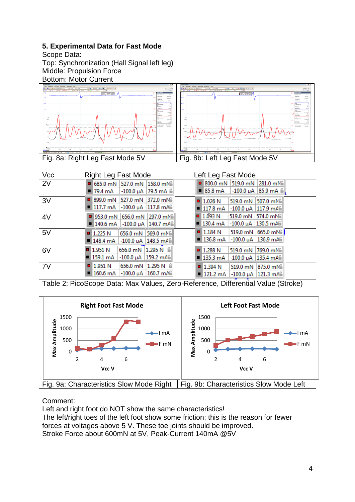## **5. Experimental Data for Fast Mode**

Scope Data:

Top: Synchronization (Hall Signal left leg) Middle: Propulsion Force



| <b>Vcc</b>                                                                       | Right Leg Fast Mode                                    | Left Leg Fast Mode                                    |  |  |
|----------------------------------------------------------------------------------|--------------------------------------------------------|-------------------------------------------------------|--|--|
| 2V                                                                               | $\blacksquare$ 685.0 mN 527.0 mN 158.0 mN              | $\blacksquare$ 800.0 mN 519.0 mN 281.0 mN             |  |  |
|                                                                                  | $\blacksquare$ 79.4 mA<br>-100.0 uA   79.5 mA liil     | $85.8 \text{ mA}$<br>$-100.0 \mu A$ 85.9 mA $\approx$ |  |  |
| 3V                                                                               | ■ 899.0 mN 527.0 mN 372.0 mNH                          | 1.026 N<br>519.0 mN<br>507.0 mNB                      |  |  |
|                                                                                  | $\blacksquare$ 117.7 mA<br>$-100.0 \mu A$   117.8 mAli | $\blacksquare$ 117.8 mA<br>$-100.0 \mu A$ 117.9 mAs   |  |  |
| 4V                                                                               | ■ 953.0 mN 656.0 mN 297.0 mN                           | $\blacksquare$ 1.093 N<br>519.0 mN 574.0 mN           |  |  |
|                                                                                  | $\blacksquare$ 140.6 mA -100.0 µA 140.7 mA             | $\blacksquare$ 130.4 mA<br>$-100.0 \mu A$ 130.5 mAs   |  |  |
| 5V                                                                               | 656.0 mN 569.0 mNB<br>$\blacksquare$ 1.225 N           | $\blacksquare$ 1.184 N<br>519.0 mN 665.0 mNH          |  |  |
|                                                                                  | $\blacksquare$ 148.4 mA -100.0 µA 148.5 mA             | $\blacksquare$ 136.8 mA<br>$-100.0 \mu A$ 136.9 mAli  |  |  |
| 6V                                                                               | 656.0 mN 1.295 N 6<br>$\blacksquare$ 1.951 N           | 1.288 N<br>519.0 mN 769.0 mNH                         |  |  |
|                                                                                  | $-100.0 \mu A$ 159.2 mAli<br>■ 159.1 mA                | $\blacksquare$ 135.3 mA<br>$-100.0 \mu A$ 135.4 mAs   |  |  |
| 7V                                                                               | $\blacksquare$ 1.951 N<br>656.0 mN 1.295 N 6           | $\blacksquare$ 1.394 N<br>519.0 mN 875.0 mNB          |  |  |
|                                                                                  | $\blacksquare$ 160.6 mA<br>$-100.0 \mu A$ 160.7 mAli   | $\blacksquare$ 121.2 mA<br>$-100.0 \mu A$ 121.3 mAs   |  |  |
| Table 2: PicoScope Data: Max Values, Zero-Reference, Differential Value (Stroke) |                                                        |                                                       |  |  |



Comment:

Left and right foot do NOT show the same characteristics! The left/right toes of the left foot show some friction; this is the reason for fewer forces at voltages above 5 V. These toe joints should be improved. Stroke Force about 600mN at 5V, Peak-Current 140mA @5V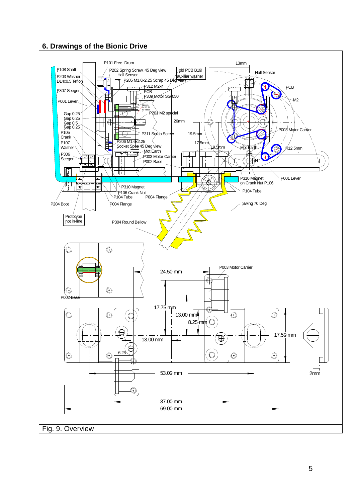## **6. Drawings of the Bionic Drive**

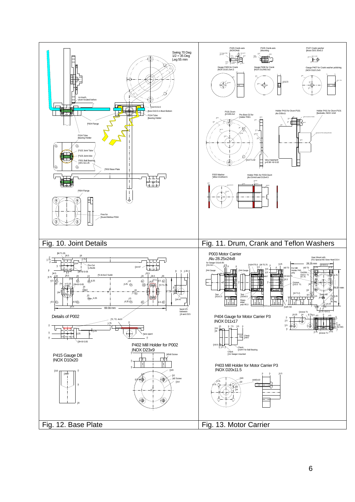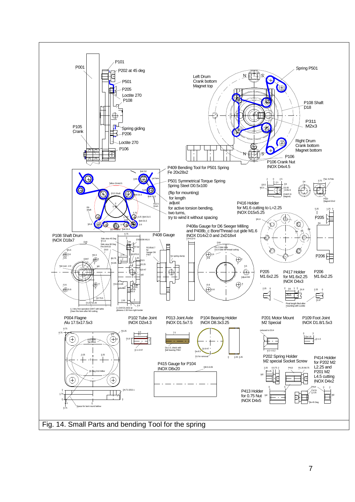